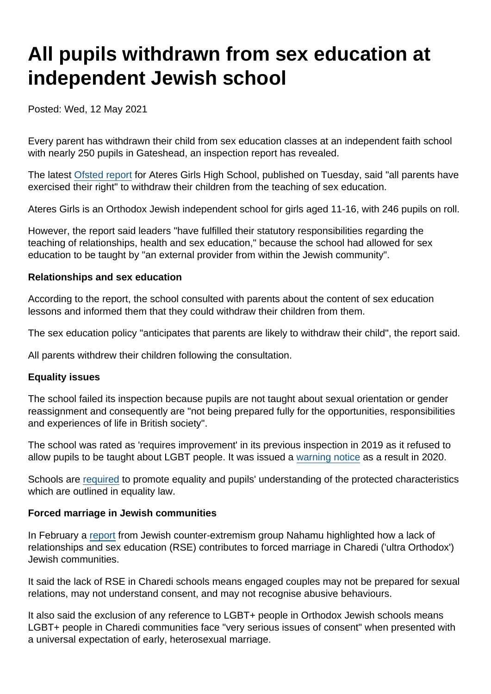# All pupils withdrawn from sex education at independent Jewish school

Posted: Wed, 12 May 2021

Every parent has withdrawn their child from sex education classes at an independent faith school with nearly 250 pupils in Gateshead, an inspection report has revealed.

The latest [Ofsted report](https://reports.ofsted.gov.uk/provider/27/138118) for Ateres Girls High School, published on Tuesday, said "all parents have exercised their right" to withdraw their children from the teaching of sex education.

Ateres Girls is an Orthodox Jewish independent school for girls aged 11-16, with 246 pupils on roll.

However, the report said leaders "have fulfilled their statutory responsibilities regarding the teaching of relationships, health and sex education," because the school had allowed for sex education to be taught by "an external provider from within the Jewish community".

Relationships and sex education

According to the report, the school consulted with parents about the content of sex education lessons and informed them that they could withdraw their children from them.

The sex education policy "anticipates that parents are likely to withdraw their child", the report said.

All parents withdrew their children following the consultation.

#### Equality issues

The school failed its inspection because pupils are not taught about sexual orientation or gender reassignment and consequently are "not being prepared fully for the opportunities, responsibilities and experiences of life in British society".

The school was rated as 'requires improvement' in its previous inspection in 2019 as it refused to allow pupils to be taught about LGBT people. It was issued a [warning notice](https://assets.publishing.service.gov.uk/government/uploads/system/uploads/attachment_data/file/893881/Ateres_Girls_High_School_09012020.pdf) as a result in 2020.

Schools are [required](https://www.gov.uk/government/publications/inspecting-teaching-of-the-protected-characteristics-in-schools/inspecting-teaching-of-the-protected-characteristics-in-schools) to promote equality and pupils' understanding of the protected characteristics which are outlined in equality law.

Forced marriage in Jewish communities

In February a [report](https://www.secularism.org.uk/news/2021/02/improve-rse-in-faith-schools-to-curb-forced-marriage-campaigners-say) from Jewish counter-extremism group Nahamu highlighted how a lack of relationships and sex education (RSE) contributes to forced marriage in Charedi ('ultra Orthodox') Jewish communities.

It said the lack of RSE in Charedi schools means engaged couples may not be prepared for sexual relations, may not understand consent, and may not recognise abusive behaviours.

It also said the exclusion of any reference to LGBT+ people in Orthodox Jewish schools means LGBT+ people in Charedi communities face "very serious issues of consent" when presented with a universal expectation of early, heterosexual marriage.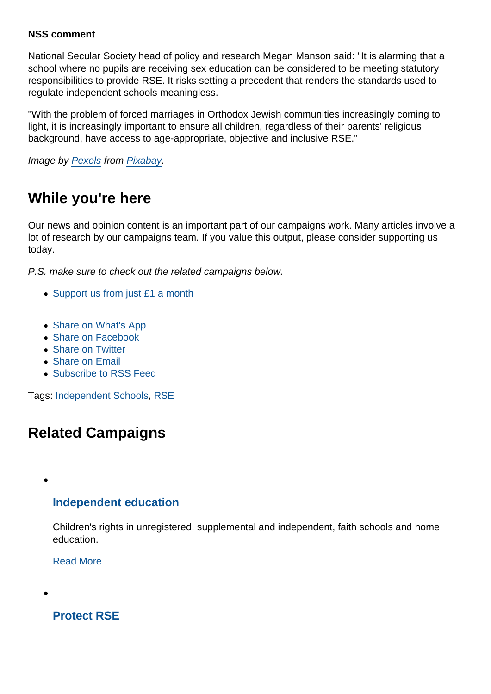### NSS comment

National Secular Society head of policy and research Megan Manson said: "It is alarming that a school where no pupils are receiving sex education can be considered to be meeting statutory responsibilities to provide RSE. It risks setting a precedent that renders the standards used to regulate independent schools meaningless.

"With the problem of forced marriages in Orthodox Jewish communities increasingly coming to light, it is increasingly important to ensure all children, regardless of their parents' religious background, have access to age-appropriate, objective and inclusive RSE."

Image by [Pexels](https://pixabay.com/users/pexels-2286921/?utm_source=link-attribution&utm_medium=referral&utm_campaign=image&utm_content=2181920) from [Pixabay](https://pixabay.com/?utm_source=link-attribution&utm_medium=referral&utm_campaign=image&utm_content=2181920).

## While you're here

Our news and opinion content is an important part of our campaigns work. Many articles involve a lot of research by our campaigns team. If you value this output, please consider supporting us today.

P.S. make sure to check out the related campaigns below.

- [Support us from just £1 a month](https://www.secularism.org.uk/donate.html)
- [Share on What's App](whatsapp://send?text=http://www.secularism.org.uk/news/2021/05/all-pupils-withdrawn-from-sex-education-at-independent-jewish-school?format=pdf)
- [Share on Facebook](https://www.facebook.com/sharer/sharer.php?u=http://www.secularism.org.uk/news/2021/05/all-pupils-withdrawn-from-sex-education-at-independent-jewish-school?format=pdf&t=All+pupils+withdrawn+from+sex+education+at+independent+Jewish+school)
- [Share on Twitter](https://twitter.com/intent/tweet?url=http://www.secularism.org.uk/news/2021/05/all-pupils-withdrawn-from-sex-education-at-independent-jewish-school?format=pdf&text=All+pupils+withdrawn+from+sex+education+at+independent+Jewish+school&via=NatSecSoc)
- [Share on Email](https://www.secularism.org.uk/share.html?url=http://www.secularism.org.uk/news/2021/05/all-pupils-withdrawn-from-sex-education-at-independent-jewish-school?format=pdf&title=All+pupils+withdrawn+from+sex+education+at+independent+Jewish+school)
- [Subscribe to RSS Feed](/mnt/web-data/www/cp-nss/feeds/rss/news)

Tags: [Independent Schools](https://www.secularism.org.uk/news/tags/Independent+Schools), [RSE](https://www.secularism.org.uk/news/tags/RSE)

### Related Campaigns

[Independent education](https://www.secularism.org.uk/independent-education/)

Children's rights in unregistered, supplemental and independent, faith schools and home education.

[Read More](https://www.secularism.org.uk/independent-education/)

[Protect RSE](https://www.secularism.org.uk/sex-education/)